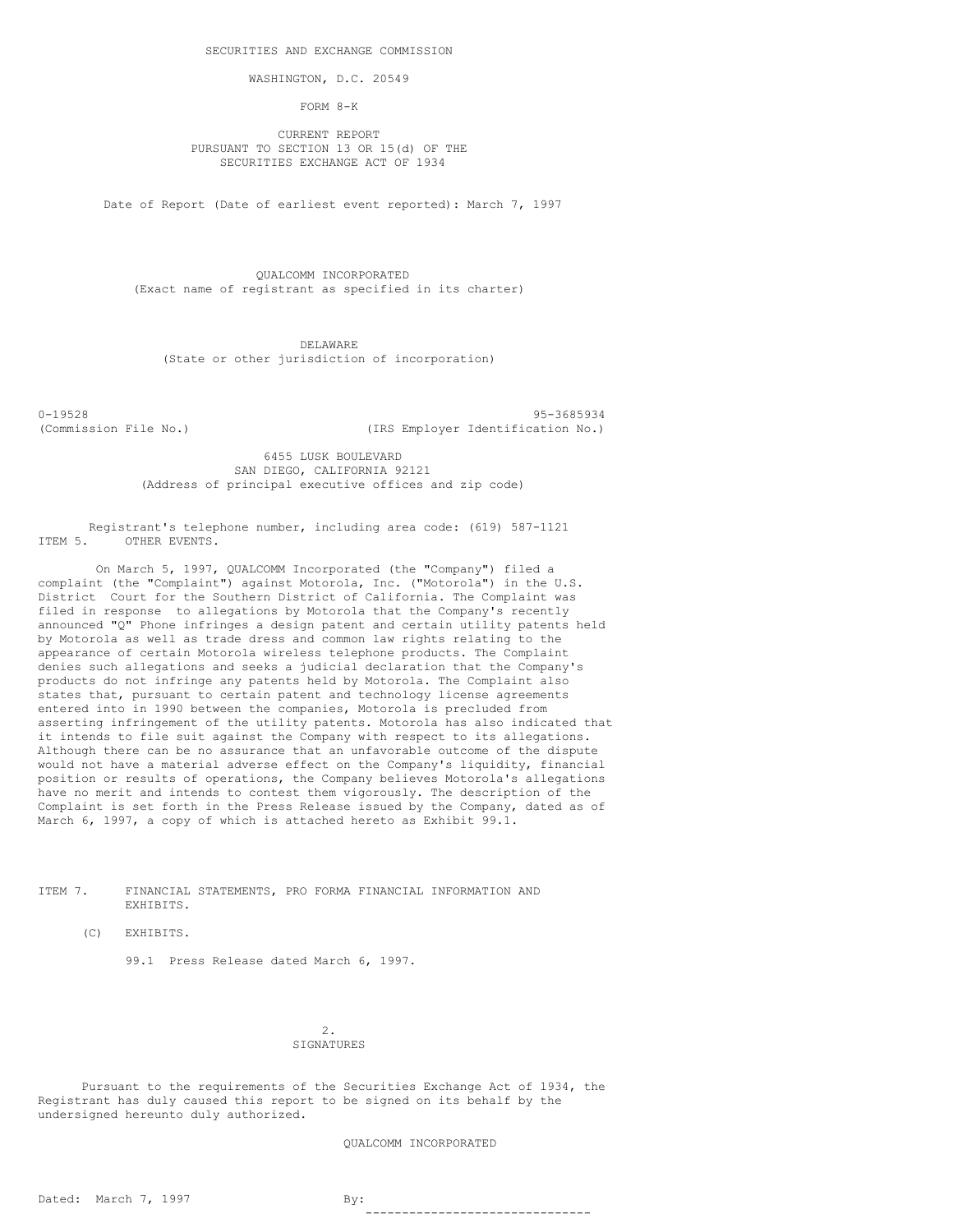WASHINGTON, D.C. 20549

FORM 8-K

CURRENT REPORT PURSUANT TO SECTION 13 OR 15(d) OF THE SECURITIES EXCHANGE ACT OF 1934

Date of Report (Date of earliest event reported): March 7, 1997

QUALCOMM INCORPORATED (Exact name of registrant as specified in its charter)

DELAWARE (State or other jurisdiction of incorporation)

0-19528 95-3685934 (Commission File No.) (IRS Employer Identification No.)

> 6455 LUSK BOULEVARD SAN DIEGO, CALIFORNIA 92121 (Address of principal executive offices and zip code)

Registrant's telephone number, including area code: (619) 587-1121 ITEM 5. OTHER EVENTS.

On March 5, 1997, QUALCOMM Incorporated (the "Company") filed a complaint (the "Complaint") against Motorola, Inc. ("Motorola") in the U.S. District Court for the Southern District of California. The Complaint was filed in response to allegations by Motorola that the Company's recently announced "Q" Phone infringes a design patent and certain utility patents held by Motorola as well as trade dress and common law rights relating to the appearance of certain Motorola wireless telephone products. The Complaint denies such allegations and seeks a judicial declaration that the Company's products do not infringe any patents held by Motorola. The Complaint also states that, pursuant to certain patent and technology license agreements entered into in 1990 between the companies, Motorola is precluded from asserting infringement of the utility patents. Motorola has also indicated that it intends to file suit against the Company with respect to its allegations. Although there can be no assurance that an unfavorable outcome of the dispute would not have a material adverse effect on the Company's liquidity, financial position or results of operations, the Company believes Motorola's allegations have no merit and intends to contest them vigorously. The description of the Complaint is set forth in the Press Release issued by the Company, dated as of March 6, 1997, a copy of which is attached hereto as Exhibit 99.1.

ITEM 7. FINANCIAL STATEMENTS, PRO FORMA FINANCIAL INFORMATION AND EXHIBITS.

(C) EXHIBITS.

99.1 Press Release dated March 6, 1997.

2. **SIGNATURES** 

Pursuant to the requirements of the Securities Exchange Act of 1934, the Registrant has duly caused this report to be signed on its behalf by the undersigned hereunto duly authorized.

QUALCOMM INCORPORATED

-------------------------------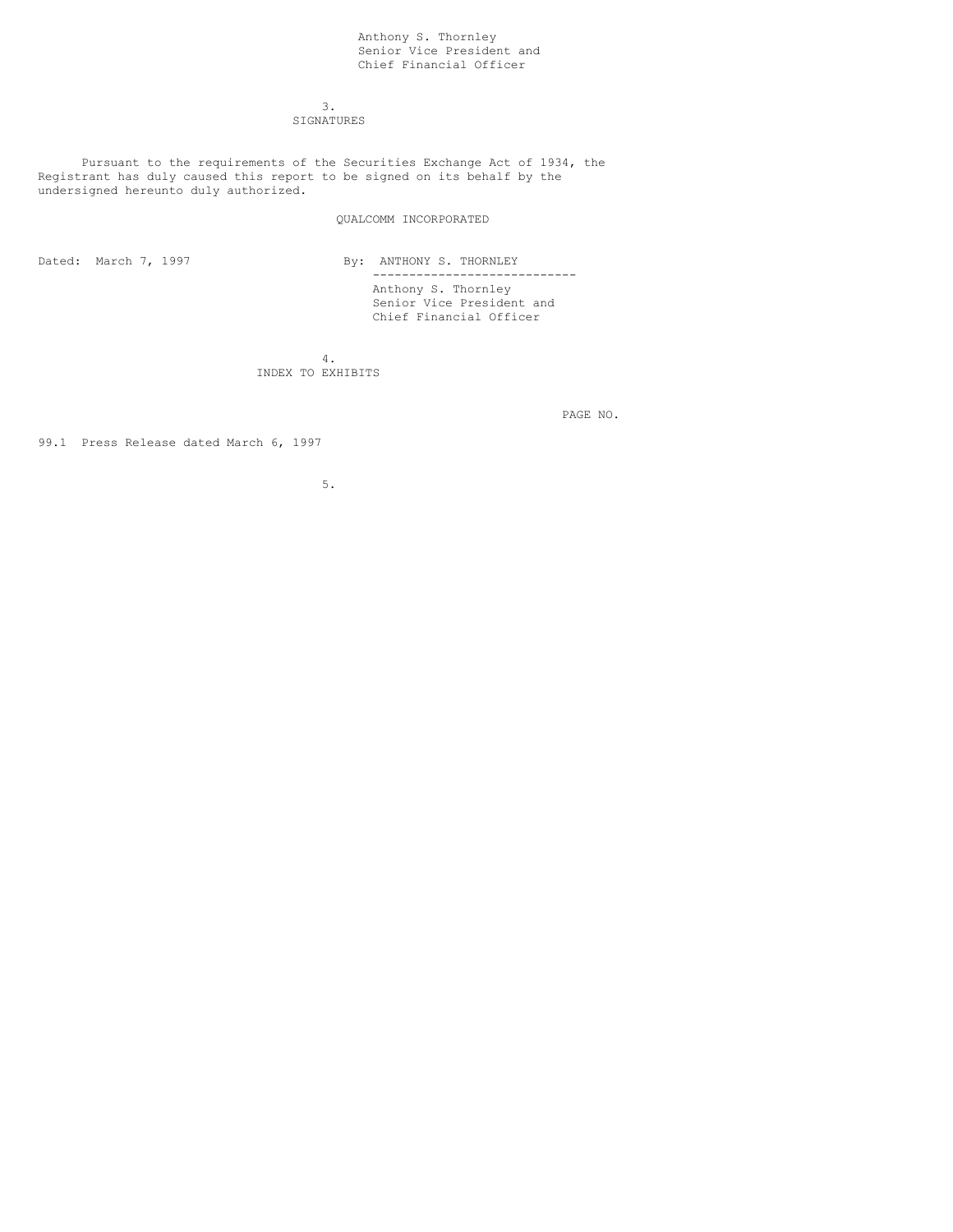# Anthony S. Thornley Senior Vice President and Chief Financial Officer

3. SIGNATURES

Pursuant to the requirements of the Securities Exchange Act of 1934, the Registrant has duly caused this report to be signed on its behalf by the undersigned hereunto duly authorized.

# QUALCOMM INCORPORATED

Dated: March 7, 1997 By: ANTHONY S. THORNLEY ---------------------------- Anthony S. Thornley Senior Vice President and Chief Financial Officer

> 4. INDEX TO EXHIBITS

> > PAGE NO.

99.1 Press Release dated March 6, 1997

5.